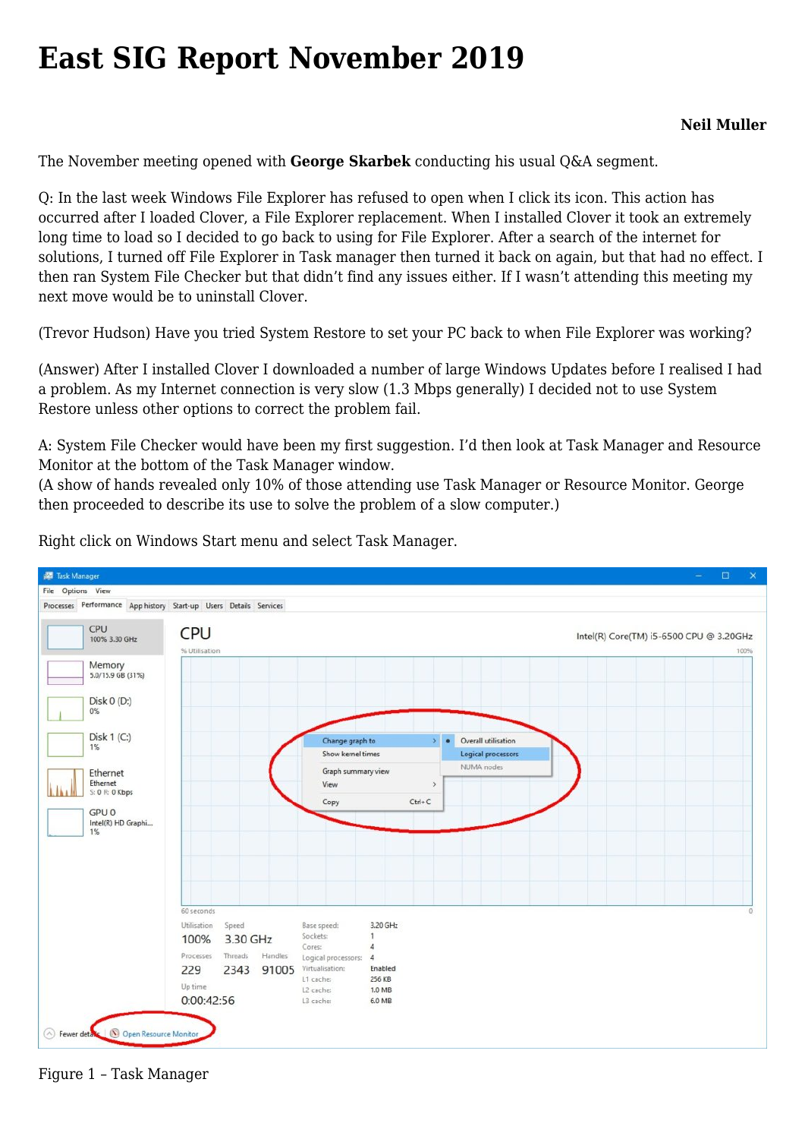## **[East SIG Report November 2019](https://www.melbpc.org.au/east-sig-report-november-2019/)**

The November meeting opened with **George Skarbek** conducting his usual Q&A segment.

Q: In the last week Windows File Explorer has refused to open when I click its icon. This action has occurred after I loaded Clover, a File Explorer replacement. When I installed Clover it took an extremely long time to load so I decided to go back to using for File Explorer. After a search of the internet for solutions, I turned off File Explorer in Task manager then turned it back on again, but that had no effect. I then ran System File Checker but that didn't find any issues either. If I wasn't attending this meeting my next move would be to uninstall Clover.

(Trevor Hudson) Have you tried System Restore to set your PC back to when File Explorer was working?

(Answer) After I installed Clover I downloaded a number of large Windows Updates before I realised I had a problem. As my Internet connection is very slow (1.3 Mbps generally) I decided not to use System Restore unless other options to correct the problem fail.

A: System File Checker would have been my first suggestion. I'd then look at Task Manager and Resource Monitor at the bottom of the Task Manager window.

(A show of hands revealed only 10% of those attending use Task Manager or Resource Monitor. George then proceeded to describe its use to solve the problem of a slow computer.)



Right click on Windows Start menu and select Task Manager.

Figure 1 – Task Manager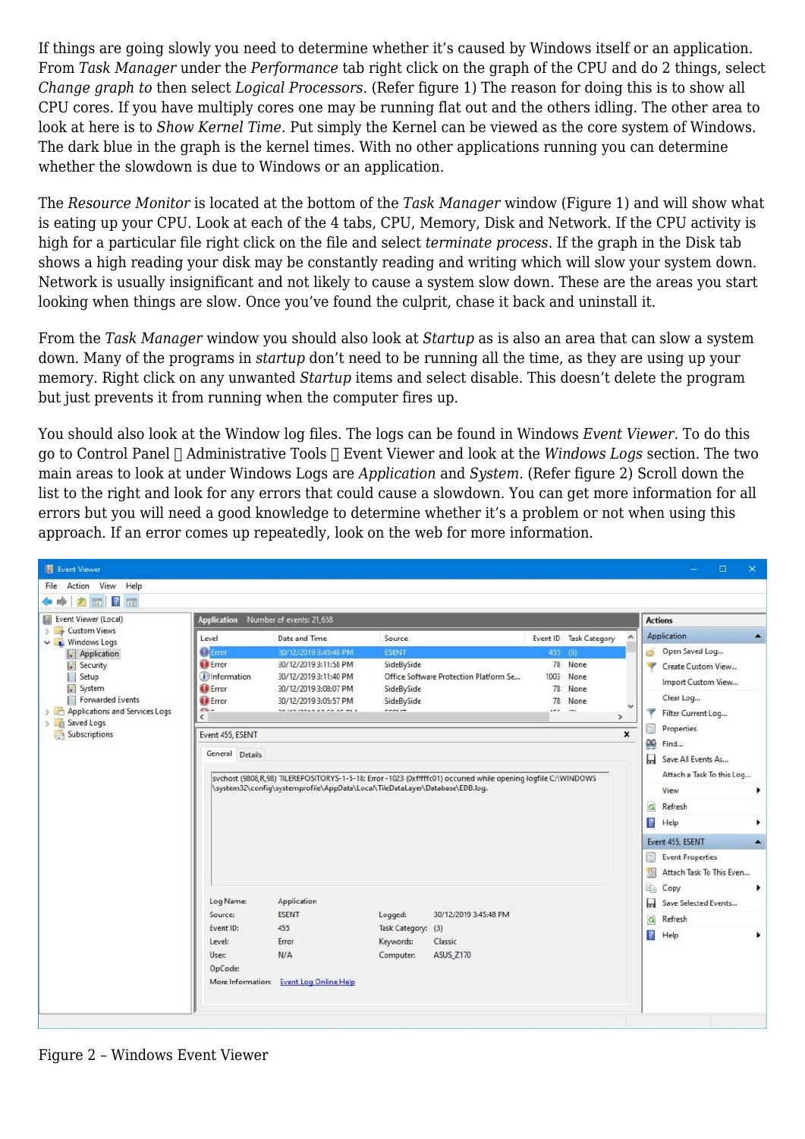If things are going slowly you need to determine whether it's caused by Windows itself or an application. From *Task Manager* under the *Performance* tab right click on the graph of the CPU and do 2 things, select *Change graph to* then select *Logical Processors*. (Refer figure 1) The reason for doing this is to show all CPU cores. If you have multiply cores one may be running flat out and the others idling. The other area to look at here is to *Show Kernel Time*. Put simply the Kernel can be viewed as the core system of Windows. The dark blue in the graph is the kernel times. With no other applications running you can determine whether the slowdown is due to Windows or an application.

The *Resource Monitor* is located at the bottom of the *Task Manager* window (Figure 1) and will show what is eating up your CPU. Look at each of the 4 tabs, CPU, Memory, Disk and Network. If the CPU activity is high for a particular file right click on the file and select *terminate process*. If the graph in the Disk tab shows a high reading your disk may be constantly reading and writing which will slow your system down. Network is usually insignificant and not likely to cause a system slow down. These are the areas you start looking when things are slow. Once you've found the culprit, chase it back and uninstall it.

From the *Task Manager* window you should also look at *Startup* as is also an area that can slow a system down. Many of the programs in *startup* don't need to be running all the time, as they are using up your memory. Right click on any unwanted *Startup* items and select disable. This doesn't delete the program but just prevents it from running when the computer fires up.

You should also look at the Window log files. The logs can be found in Windows *Event Viewer*. To do this go to Control Panel Administrative Tools Event Viewer and look at the *Windows Logs* section. The two main areas to look at under Windows Logs are *Application* and *System*. (Refer figure 2) Scroll down the list to the right and look for any errors that could cause a slowdown. You can get more information for all errors but you will need a good knowledge to determine whether it's a problem or not when using this approach. If an error comes up repeatedly, look on the web for more information.

| 2回 2回                                                                                                                                                                                                                             |                                                                                                                                                            |                                                                                                                                                                                                                                                                                                                                                                                                                                                                                                                                                               |                                                         |                                                      |  |  |                                                                                                                                                                                                                                                                                                                                                                             |                                                                          |  |
|-----------------------------------------------------------------------------------------------------------------------------------------------------------------------------------------------------------------------------------|------------------------------------------------------------------------------------------------------------------------------------------------------------|---------------------------------------------------------------------------------------------------------------------------------------------------------------------------------------------------------------------------------------------------------------------------------------------------------------------------------------------------------------------------------------------------------------------------------------------------------------------------------------------------------------------------------------------------------------|---------------------------------------------------------|------------------------------------------------------|--|--|-----------------------------------------------------------------------------------------------------------------------------------------------------------------------------------------------------------------------------------------------------------------------------------------------------------------------------------------------------------------------------|--------------------------------------------------------------------------|--|
| Event Viewer (Local)<br><b>Custom Views</b><br><b>Links</b><br><b>Windows Logs</b><br>Application<br>Security<br>Setup<br>E<br>System<br>Forwarded Events<br>Applications and Services Logs<br>Saved Logs<br>> 中<br>Subscriptions | Application Number of events: 21,658                                                                                                                       |                                                                                                                                                                                                                                                                                                                                                                                                                                                                                                                                                               |                                                         |                                                      |  |  |                                                                                                                                                                                                                                                                                                                                                                             | <b>Actions</b>                                                           |  |
|                                                                                                                                                                                                                                   | Level<br><b>Exercise</b><br><b>O</b> Error<br>(i) Information<br><b>O</b> Error<br><b>Error</b><br>m.<br>$\epsilon$<br>Event 455, ESENT<br>General Details | 30/12/2019 3:45:48 PM<br><b>ESENT</b><br>$455$ (3)<br>78 None<br>30/12/2019 3:11:58 PM<br>SideBySide<br>Office Software Protection Platform Se<br>30/12/2019 3:11:40 PM<br>1003<br>None<br>SideBySide<br>30/12/2019 3:08:07 PM<br>78<br>None<br>30/12/2019 3:05:57 PM<br>SideBySide<br>78<br>None<br>-----<br>د م<br>$\overline{a}$<br>$\rightarrow$<br>×<br>sychost (9808, R, 98) TILEREPOSITORYS-1-5-18: Error -1023 (0xfffffc01) occurred while opening logfile C:\WINDOWS<br>\system32\config\systemprofile\AppData\Local\TileDataLayer\Database\EDB.log. |                                                         |                                                      |  |  | Application<br>Open Saved Log<br>ô<br>W<br>Create Custom View<br>Import Custom View<br>Clear Log<br>▼<br>Filter Current Log<br>Properties<br>h<br>œ<br>Find<br>Ы<br>Save All Events As<br>Attach a Task To this Log<br>View<br>G<br>Refresh<br>$\mathbb{R}$<br>Help<br>Event 455, ESENT<br>ø<br><b>Event Properties</b><br>$\circ$<br>Attach Task To This Even<br>b<br>Copy |                                                                          |  |
|                                                                                                                                                                                                                                   | Log Name:<br>Source:<br>Event ID:<br>Level:<br>User:<br>OpCode:                                                                                            | Application<br><b>ESENT</b><br>455<br>Error<br>N/A<br>More Information: Event Log Online Help                                                                                                                                                                                                                                                                                                                                                                                                                                                                 | Logged:<br>Task Category: (3)<br>Keywords:<br>Computer: | 30/12/2019 3:45:48 PM<br>Classic<br><b>ASUS Z170</b> |  |  |                                                                                                                                                                                                                                                                                                                                                                             | Н<br>Save Selected Events<br>$\Omega$<br>Refresh<br>$\mathbf{r}$<br>Help |  |

Figure 2 – Windows Event Viewer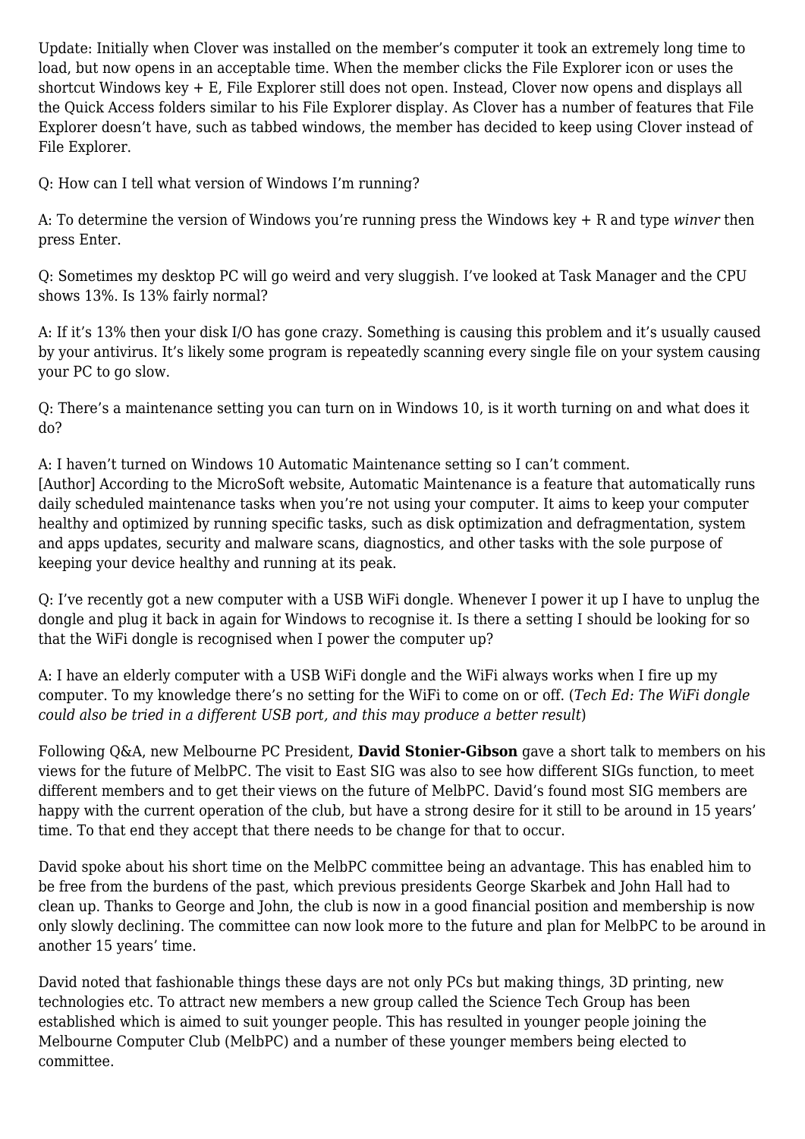Update: Initially when Clover was installed on the member's computer it took an extremely long time to load, but now opens in an acceptable time. When the member clicks the File Explorer icon or uses the shortcut Windows key + E, File Explorer still does not open. Instead, Clover now opens and displays all the Quick Access folders similar to his File Explorer display. As Clover has a number of features that File Explorer doesn't have, such as tabbed windows, the member has decided to keep using Clover instead of File Explorer.

Q: How can I tell what version of Windows I'm running?

A: To determine the version of Windows you're running press the Windows key + R and type *winver* then press Enter.

Q: Sometimes my desktop PC will go weird and very sluggish. I've looked at Task Manager and the CPU shows 13%. Is 13% fairly normal?

A: If it's 13% then your disk I/O has gone crazy. Something is causing this problem and it's usually caused by your antivirus. It's likely some program is repeatedly scanning every single file on your system causing your PC to go slow.

Q: There's a maintenance setting you can turn on in Windows 10, is it worth turning on and what does it do?

A: I haven't turned on Windows 10 Automatic Maintenance setting so I can't comment. [Author] According to the MicroSoft website, Automatic Maintenance is a feature that automatically runs daily scheduled maintenance tasks when you're not using your computer. It aims to keep your computer healthy and optimized by running specific tasks, such as disk optimization and defragmentation, system and apps updates, security and malware scans, diagnostics, and other tasks with the sole purpose of keeping your device healthy and running at its peak.

Q: I've recently got a new computer with a USB WiFi dongle. Whenever I power it up I have to unplug the dongle and plug it back in again for Windows to recognise it. Is there a setting I should be looking for so that the WiFi dongle is recognised when I power the computer up?

A: I have an elderly computer with a USB WiFi dongle and the WiFi always works when I fire up my computer. To my knowledge there's no setting for the WiFi to come on or off. (*Tech Ed: The WiFi dongle could also be tried in a different USB port, and this may produce a better result*)

Following Q&A, new Melbourne PC President, **David Stonier-Gibson** gave a short talk to members on his views for the future of MelbPC. The visit to East SIG was also to see how different SIGs function, to meet different members and to get their views on the future of MelbPC. David's found most SIG members are happy with the current operation of the club, but have a strong desire for it still to be around in 15 years' time. To that end they accept that there needs to be change for that to occur.

David spoke about his short time on the MelbPC committee being an advantage. This has enabled him to be free from the burdens of the past, which previous presidents George Skarbek and John Hall had to clean up. Thanks to George and John, the club is now in a good financial position and membership is now only slowly declining. The committee can now look more to the future and plan for MelbPC to be around in another 15 years' time.

David noted that fashionable things these days are not only PCs but making things, 3D printing, new technologies etc. To attract new members a new group called the Science Tech Group has been established which is aimed to suit younger people. This has resulted in younger people joining the Melbourne Computer Club (MelbPC) and a number of these younger members being elected to committee.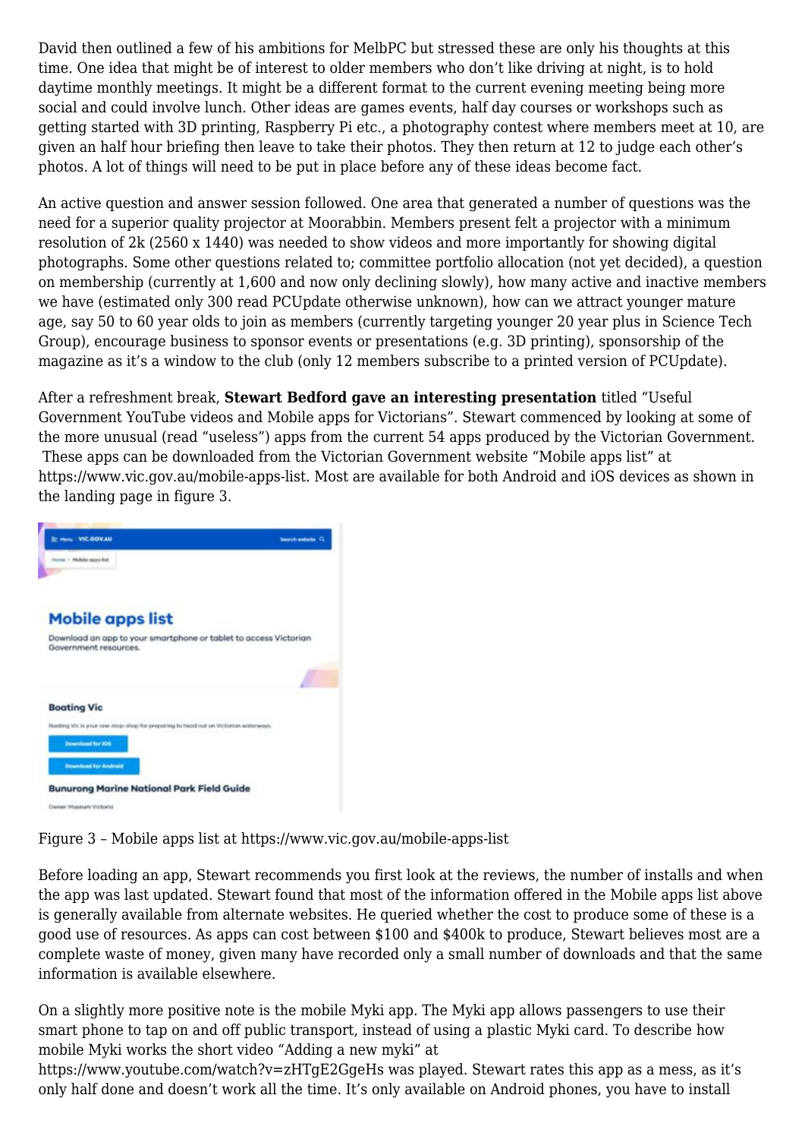David then outlined a few of his ambitions for MelbPC but stressed these are only his thoughts at this time. One idea that might be of interest to older members who don't like driving at night, is to hold daytime monthly meetings. It might be a different format to the current evening meeting being more social and could involve lunch. Other ideas are games events, half day courses or workshops such as getting started with 3D printing, Raspberry Pi etc., a photography contest where members meet at 10, are given an half hour briefing then leave to take their photos. They then return at 12 to judge each other's photos. A lot of things will need to be put in place before any of these ideas become fact.

An active question and answer session followed. One area that generated a number of questions was the need for a superior quality projector at Moorabbin. Members present felt a projector with a minimum resolution of 2k (2560 x 1440) was needed to show videos and more importantly for showing digital photographs. Some other questions related to; committee portfolio allocation (not yet decided), a question on membership (currently at 1,600 and now only declining slowly), how many active and inactive members we have (estimated only 300 read PCUpdate otherwise unknown), how can we attract younger mature age, say 50 to 60 year olds to join as members (currently targeting younger 20 year plus in Science Tech Group), encourage business to sponsor events or presentations (e.g. 3D printing), sponsorship of the magazine as it's a window to the club (only 12 members subscribe to a printed version of PCUpdate).

After a refreshment break, **Stewart Bedford gave an interesting presentation** titled "Useful Government YouTube videos and Mobile apps for Victorians". Stewart commenced by looking at some of the more unusual (read "useless") apps from the current 54 apps produced by the Victorian Government. These apps can be downloaded from the Victorian Government website "[Mobile apps list"](https://www.vic.gov.au/mobile-apps-list) at <https://www.vic.gov.au/mobile-apps-list>. Most are available for both Android and iOS devices as shown in the landing page in figure 3.



Figure 3 – Mobile apps list at<https://www.vic.gov.au/mobile-apps-list>

Before loading an app, Stewart recommends you first look at the reviews, the number of installs and when the app was last updated. Stewart found that most of the information offered in the Mobile apps list above is generally available from alternate websites. He queried whether the cost to produce some of these is a good use of resources. As apps can cost between \$100 and \$400k to produce, Stewart believes most are a complete waste of money, given many have recorded only a small number of downloads and that the same information is available elsewhere.

On a slightly more positive note is the mobile Myki app. The Myki app allows passengers to use their smart phone to tap on and off public transport, instead of using a plastic Myki card. To describe how mobile Myki works the short video ["Adding a new myki](https://www.youtube.com/watch?v=zHTgE2GgeHs)" at

<https://www.youtube.com/watch?v=zHTgE2GgeHs> was played. Stewart rates this app as a mess, as it's only half done and doesn't work all the time. It's only available on Android phones, you have to install